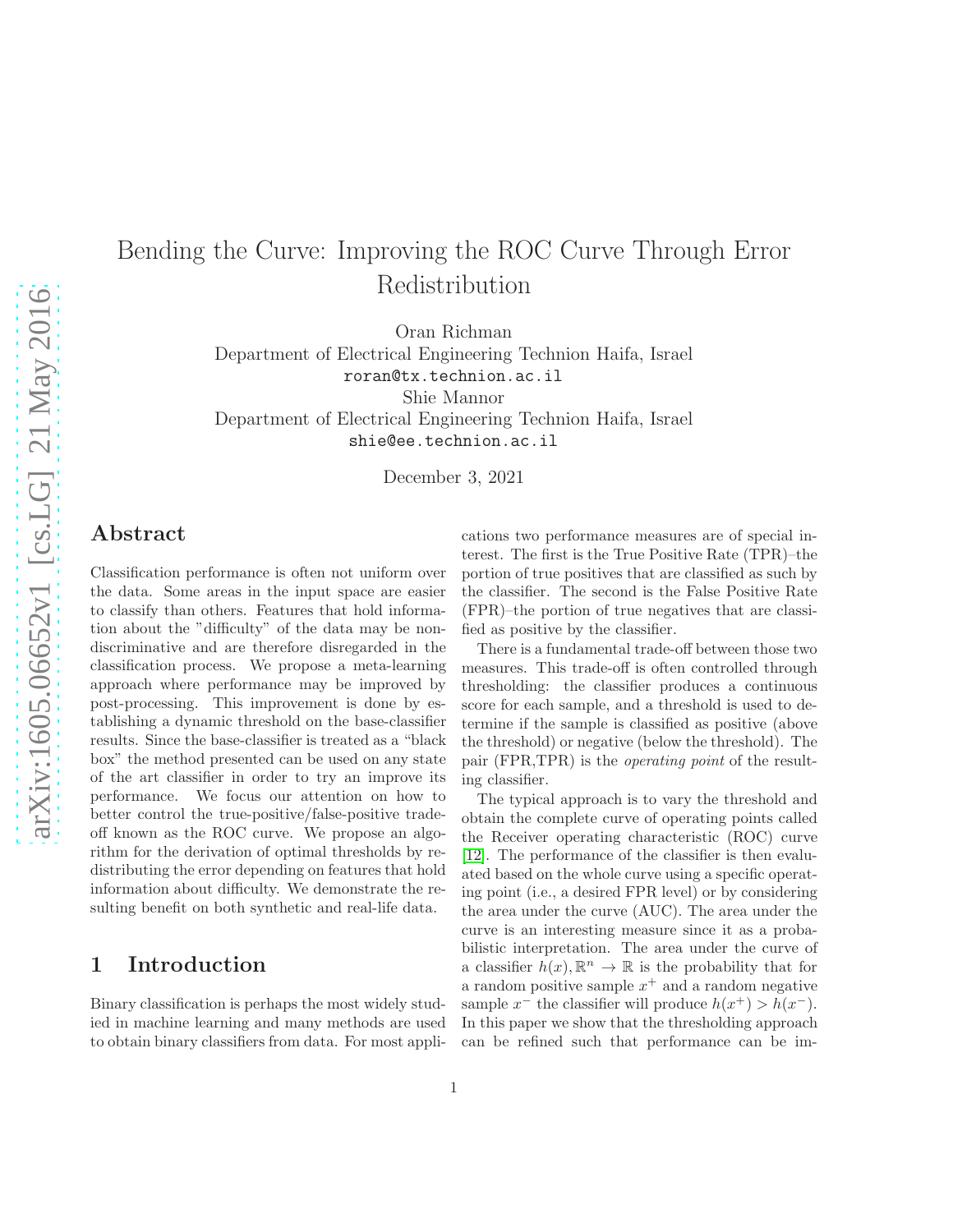# Bending the Curve: Improving the ROC Curve Through Error Redistribution

Oran Richman

Department of Electrical Engineering Technion Haifa, Israel roran@tx.technion.ac.il

Shie Mannor

Department of Electrical Engineering Technion Haifa, Israel

shie@ee.technion.ac.il

December 3, 2021

### Abstract

Classification performance is often not uniform over the data. Some areas in the input space are easier to classify than others. Features that hold information about the "difficulty" of the data may be nondiscriminative and are therefore disregarded in the classification process. We propose a meta-learning approach where performance may be improved by post-processing. This improvement is done by establishing a dynamic threshold on the base-classifier results. Since the base-classifier is treated as a "black box" the method presented can be used on any state of the art classifier in order to try an improve its performance. We focus our attention on how to better control the true-positive/false-positive tradeoff known as the ROC curve. We propose an algorithm for the derivation of optimal thresholds by redistributing the error depending on features that hold information about difficulty. We demonstrate the resulting benefit on both synthetic and real-life data.

## 1 Introduction

Binary classification is perhaps the most widely studied in machine learning and many methods are used to obtain binary classifiers from data. For most applications two performance measures are of special interest. The first is the True Positive Rate (TPR)–the portion of true positives that are classified as such by the classifier. The second is the False Positive Rate (FPR)–the portion of true negatives that are classified as positive by the classifier.

There is a fundamental trade-off between those two measures. This trade-off is often controlled through thresholding: the classifier produces a continuous score for each sample, and a threshold is used to determine if the sample is classified as positive (above the threshold) or negative (below the threshold). The pair (FPR,TPR) is the *operating point* of the resulting classifier.

The typical approach is to vary the threshold and obtain the complete curve of operating points called the Receiver operating characteristic (ROC) curve [\[12\]](#page-12-0). The performance of the classifier is then evaluated based on the whole curve using a specific operating point (i.e., a desired FPR level) or by considering the area under the curve (AUC). The area under the curve is an interesting measure since it as a probabilistic interpretation. The area under the curve of a classifier  $h(x), \mathbb{R}^n \to \mathbb{R}$  is the probability that for a random positive sample  $x^+$  and a random negative sample  $x^-$  the classifier will produce  $h(x^+) > h(x^-)$ . In this paper we show that the thresholding approach can be refined such that performance can be im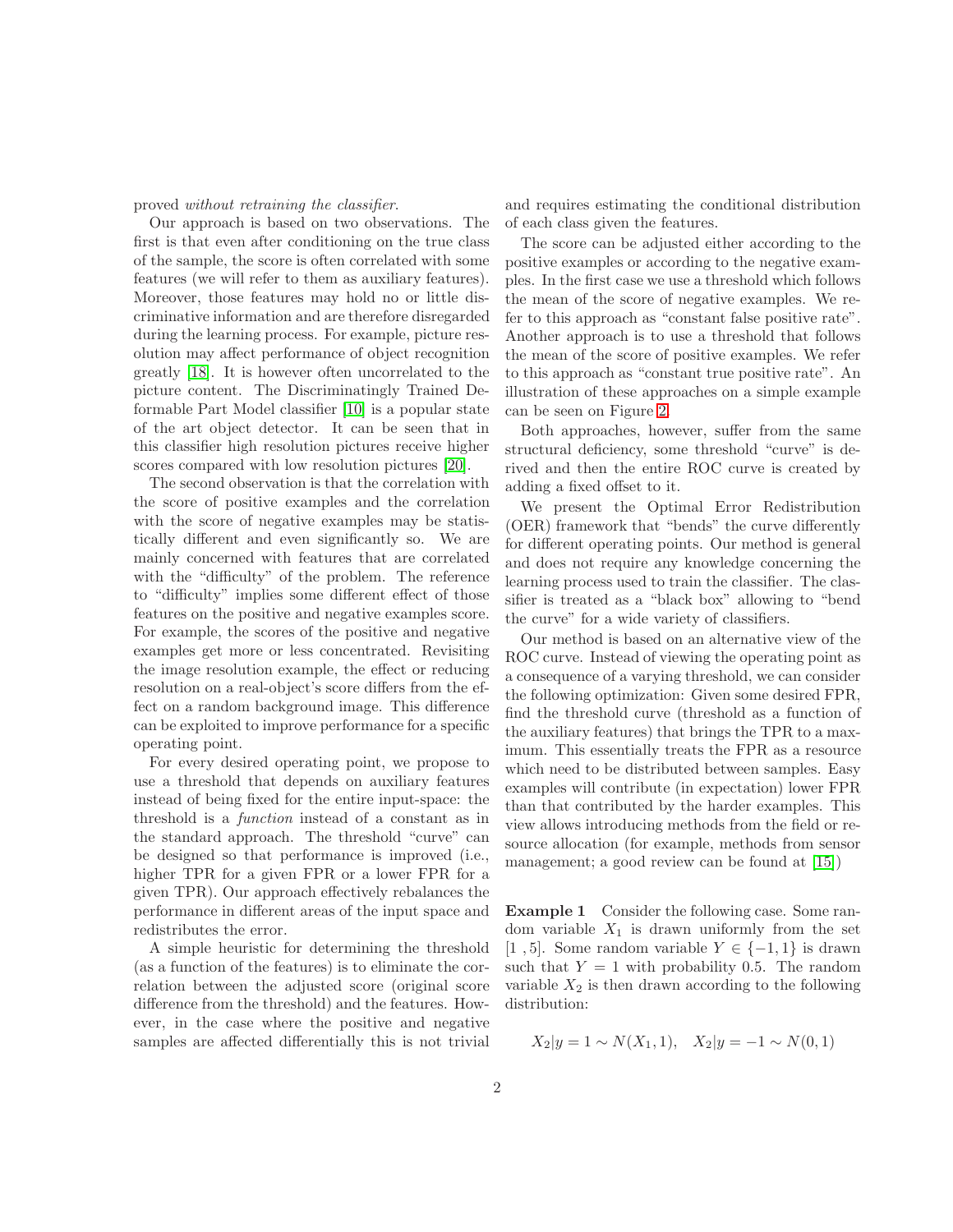proved *without retraining the classifier*.

Our approach is based on two observations. The first is that even after conditioning on the true class of the sample, the score is often correlated with some features (we will refer to them as auxiliary features). Moreover, those features may hold no or little discriminative information and are therefore disregarded during the learning process. For example, picture resolution may affect performance of object recognition greatly [\[18\]](#page-13-0). It is however often uncorrelated to the picture content. The Discriminatingly Trained Deformable Part Model classifier [\[10\]](#page-12-1) is a popular state of the art object detector. It can be seen that in this classifier high resolution pictures receive higher scores compared with low resolution pictures [\[20\]](#page-13-1).

The second observation is that the correlation with the score of positive examples and the correlation with the score of negative examples may be statistically different and even significantly so. We are mainly concerned with features that are correlated with the "difficulty" of the problem. The reference to "difficulty" implies some different effect of those features on the positive and negative examples score. For example, the scores of the positive and negative examples get more or less concentrated. Revisiting the image resolution example, the effect or reducing resolution on a real-object's score differs from the effect on a random background image. This difference can be exploited to improve performance for a specific operating point.

For every desired operating point, we propose to use a threshold that depends on auxiliary features instead of being fixed for the entire input-space: the threshold is a *function* instead of a constant as in the standard approach. The threshold "curve" can be designed so that performance is improved (i.e., higher TPR for a given FPR or a lower FPR for a given TPR). Our approach effectively rebalances the performance in different areas of the input space and redistributes the error.

A simple heuristic for determining the threshold (as a function of the features) is to eliminate the correlation between the adjusted score (original score difference from the threshold) and the features. However, in the case where the positive and negative samples are affected differentially this is not trivial

and requires estimating the conditional distribution of each class given the features.

The score can be adjusted either according to the positive examples or according to the negative examples. In the first case we use a threshold which follows the mean of the score of negative examples. We refer to this approach as "constant false positive rate". Another approach is to use a threshold that follows the mean of the score of positive examples. We refer to this approach as "constant true positive rate". An illustration of these approaches on a simple example can be seen on Figure [2.](#page-2-0)

Both approaches, however, suffer from the same structural deficiency, some threshold "curve" is derived and then the entire ROC curve is created by adding a fixed offset to it.

We present the Optimal Error Redistribution (OER) framework that "bends" the curve differently for different operating points. Our method is general and does not require any knowledge concerning the learning process used to train the classifier. The classifier is treated as a "black box" allowing to "bend the curve" for a wide variety of classifiers.

Our method is based on an alternative view of the ROC curve. Instead of viewing the operating point as a consequence of a varying threshold, we can consider the following optimization: Given some desired FPR, find the threshold curve (threshold as a function of the auxiliary features) that brings the TPR to a maximum. This essentially treats the FPR as a resource which need to be distributed between samples. Easy examples will contribute (in expectation) lower FPR than that contributed by the harder examples. This view allows introducing methods from the field or resource allocation (for example, methods from sensor management; a good review can be found at [\[15\]](#page-13-2))

Example 1 Consider the following case. Some random variable  $X_1$  is drawn uniformly from the set [1,5]. Some random variable  $Y \in \{-1,1\}$  is drawn such that  $Y = 1$  with probability 0.5. The random variable  $X_2$  is then drawn according to the following distribution:

$$
X_2|y = 1 \sim N(X_1, 1), \quad X_2|y = -1 \sim N(0, 1)
$$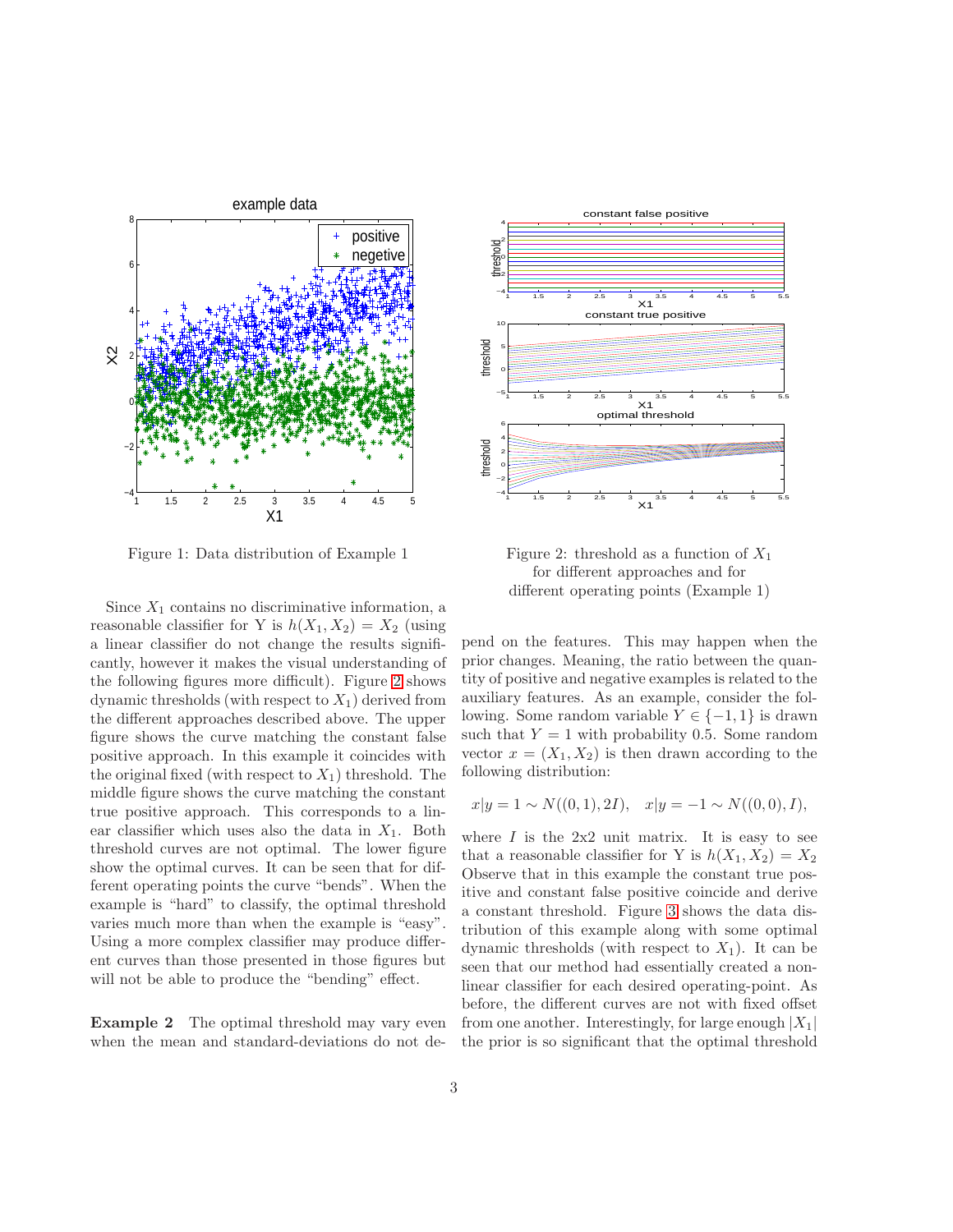

Figure 1: Data distribution of Example 1

Since  $X_1$  contains no discriminative information, a reasonable classifier for Y is  $h(X_1, X_2) = X_2$  (using a linear classifier do not change the results significantly, however it makes the visual understanding of the following figures more difficult). Figure [2](#page-2-0) shows dynamic thresholds (with respect to  $X_1$ ) derived from the different approaches described above. The upper figure shows the curve matching the constant false positive approach. In this example it coincides with the original fixed (with respect to  $X_1$ ) threshold. The middle figure shows the curve matching the constant true positive approach. This corresponds to a linear classifier which uses also the data in  $X_1$ . Both threshold curves are not optimal. The lower figure show the optimal curves. It can be seen that for different operating points the curve "bends". When the example is "hard" to classify, the optimal threshold varies much more than when the example is "easy". Using a more complex classifier may produce different curves than those presented in those figures but will not be able to produce the "bending" effect.

Example 2 The optimal threshold may vary even when the mean and standard-deviations do not de-

<span id="page-2-0"></span>

Figure 2: threshold as a function of  $X_1$ for different approaches and for different operating points (Example 1)

pend on the features. This may happen when the prior changes. Meaning, the ratio between the quantity of positive and negative examples is related to the auxiliary features. As an example, consider the following. Some random variable  $Y \in \{-1, 1\}$  is drawn such that  $Y = 1$  with probability 0.5. Some random vector  $x = (X_1, X_2)$  is then drawn according to the following distribution:

$$
x|y = 1 \sim N((0, 1), 2I), \quad x|y = -1 \sim N((0, 0), I),
$$

where  $I$  is the  $2x2$  unit matrix. It is easy to see that a reasonable classifier for Y is  $h(X_1, X_2) = X_2$ Observe that in this example the constant true positive and constant false positive coincide and derive a constant threshold. Figure [3](#page-3-0) shows the data distribution of this example along with some optimal dynamic thresholds (with respect to  $X_1$ ). It can be seen that our method had essentially created a nonlinear classifier for each desired operating-point. As before, the different curves are not with fixed offset from one another. Interestingly, for large enough  $|X_1|$ the prior is so significant that the optimal threshold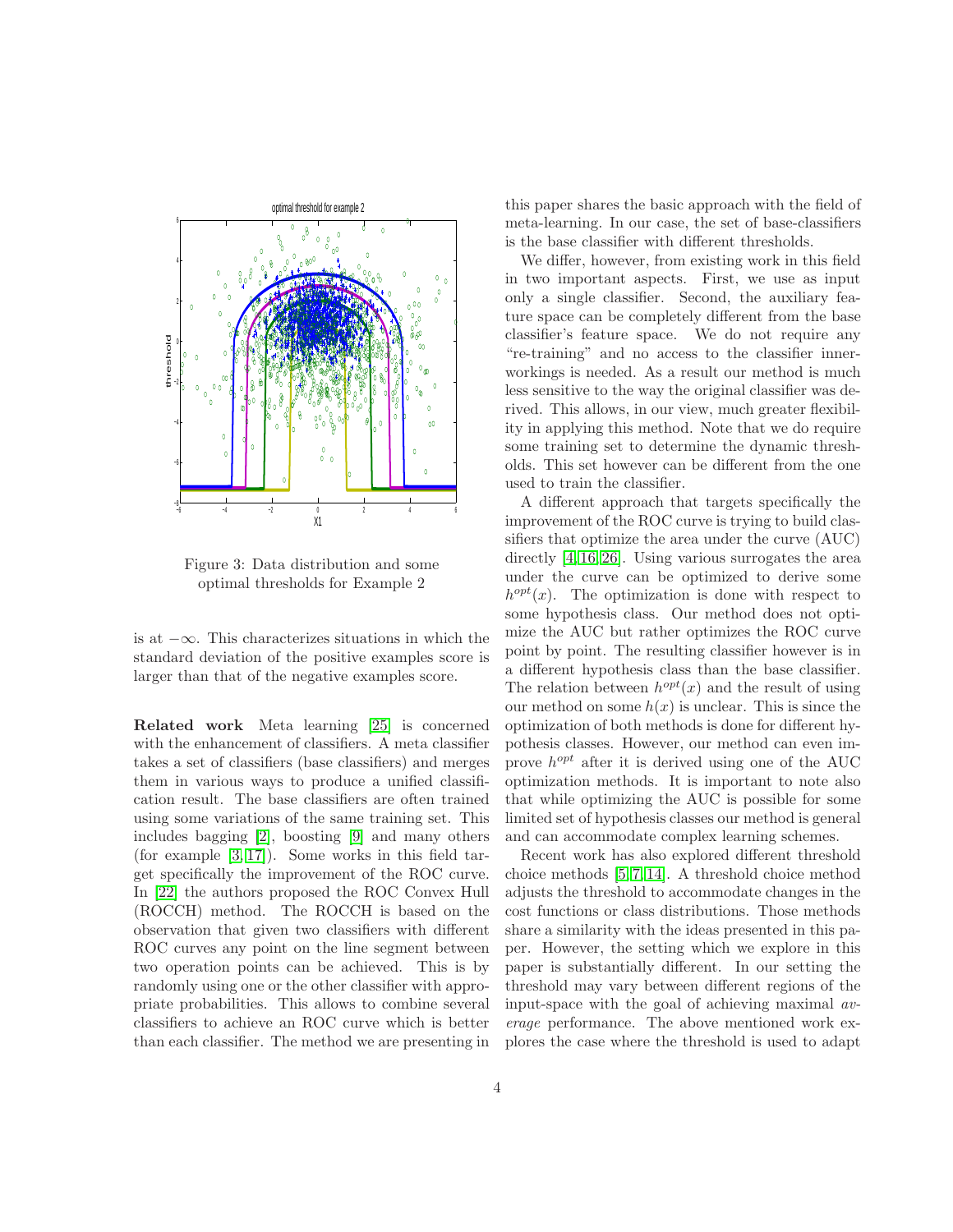<span id="page-3-0"></span>

Figure 3: Data distribution and some optimal thresholds for Example 2

is at −∞. This characterizes situations in which the standard deviation of the positive examples score is larger than that of the negative examples score.

Related work Meta learning [\[25\]](#page-13-3) is concerned with the enhancement of classifiers. A meta classifier takes a set of classifiers (base classifiers) and merges them in various ways to produce a unified classification result. The base classifiers are often trained using some variations of the same training set. This includes bagging [\[2\]](#page-12-2), boosting [\[9\]](#page-12-3) and many others (for example [\[3,](#page-12-4) [17\]](#page-13-4)). Some works in this field target specifically the improvement of the ROC curve. In [\[22\]](#page-13-5) the authors proposed the ROC Convex Hull (ROCCH) method. The ROCCH is based on the observation that given two classifiers with different ROC curves any point on the line segment between two operation points can be achieved. This is by randomly using one or the other classifier with appropriate probabilities. This allows to combine several classifiers to achieve an ROC curve which is better than each classifier. The method we are presenting in this paper shares the basic approach with the field of meta-learning. In our case, the set of base-classifiers is the base classifier with different thresholds.

We differ, however, from existing work in this field in two important aspects. First, we use as input only a single classifier. Second, the auxiliary feature space can be completely different from the base classifier's feature space. We do not require any "re-training" and no access to the classifier innerworkings is needed. As a result our method is much less sensitive to the way the original classifier was derived. This allows, in our view, much greater flexibility in applying this method. Note that we do require some training set to determine the dynamic thresholds. This set however can be different from the one used to train the classifier.

A different approach that targets specifically the improvement of the ROC curve is trying to build classifiers that optimize the area under the curve (AUC) directly [\[4,](#page-12-5) [16,](#page-13-6) [26\]](#page-13-7). Using various surrogates the area under the curve can be optimized to derive some  $h^{opt}(x)$ . The optimization is done with respect to some hypothesis class. Our method does not optimize the AUC but rather optimizes the ROC curve point by point. The resulting classifier however is in a different hypothesis class than the base classifier. The relation between  $h^{opt}(x)$  and the result of using our method on some  $h(x)$  is unclear. This is since the optimization of both methods is done for different hypothesis classes. However, our method can even improve  $h^{opt}$  after it is derived using one of the AUC optimization methods. It is important to note also that while optimizing the AUC is possible for some limited set of hypothesis classes our method is general and can accommodate complex learning schemes.

Recent work has also explored different threshold choice methods [\[5,](#page-12-6) [7,](#page-12-7) [14\]](#page-13-8). A threshold choice method adjusts the threshold to accommodate changes in the cost functions or class distributions. Those methods share a similarity with the ideas presented in this paper. However, the setting which we explore in this paper is substantially different. In our setting the threshold may vary between different regions of the input-space with the goal of achieving maximal *average* performance. The above mentioned work explores the case where the threshold is used to adapt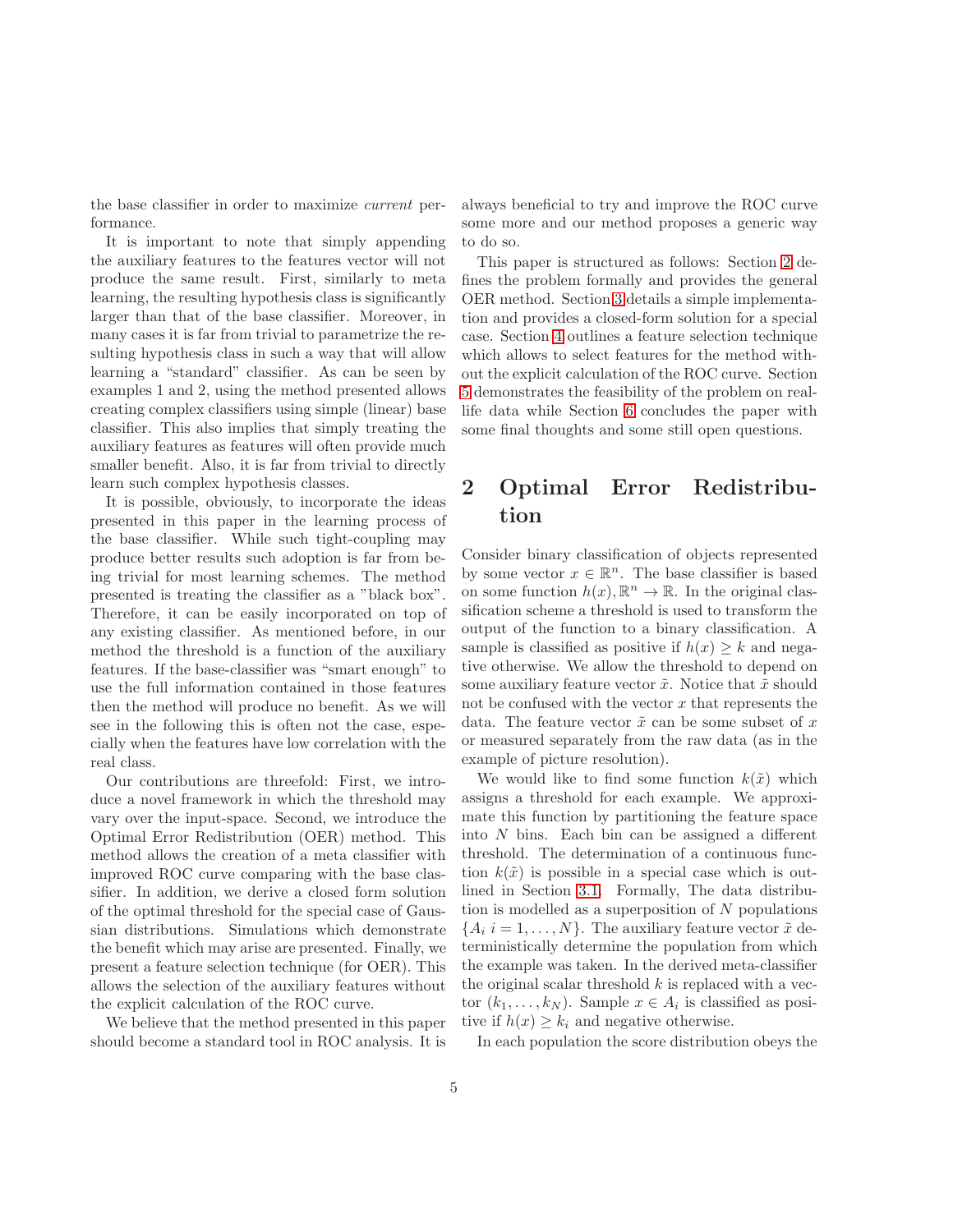the base classifier in order to maximize *current* performance.

It is important to note that simply appending the auxiliary features to the features vector will not produce the same result. First, similarly to meta learning, the resulting hypothesis class is significantly larger than that of the base classifier. Moreover, in many cases it is far from trivial to parametrize the resulting hypothesis class in such a way that will allow learning a "standard" classifier. As can be seen by examples 1 and 2, using the method presented allows creating complex classifiers using simple (linear) base classifier. This also implies that simply treating the auxiliary features as features will often provide much smaller benefit. Also, it is far from trivial to directly learn such complex hypothesis classes.

It is possible, obviously, to incorporate the ideas presented in this paper in the learning process of the base classifier. While such tight-coupling may produce better results such adoption is far from being trivial for most learning schemes. The method presented is treating the classifier as a "black box". Therefore, it can be easily incorporated on top of any existing classifier. As mentioned before, in our method the threshold is a function of the auxiliary features. If the base-classifier was "smart enough" to use the full information contained in those features then the method will produce no benefit. As we will see in the following this is often not the case, especially when the features have low correlation with the real class.

Our contributions are threefold: First, we introduce a novel framework in which the threshold may vary over the input-space. Second, we introduce the Optimal Error Redistribution (OER) method. This method allows the creation of a meta classifier with improved ROC curve comparing with the base classifier. In addition, we derive a closed form solution of the optimal threshold for the special case of Gaussian distributions. Simulations which demonstrate the benefit which may arise are presented. Finally, we present a feature selection technique (for OER). This allows the selection of the auxiliary features without the explicit calculation of the ROC curve.

We believe that the method presented in this paper should become a standard tool in ROC analysis. It is

always beneficial to try and improve the ROC curve some more and our method proposes a generic way to do so.

This paper is structured as follows: Section [2](#page-4-0) defines the problem formally and provides the general OER method. Section [3](#page-6-0) details a simple implementation and provides a closed-form solution for a special case. Section [4](#page-8-0) outlines a feature selection technique which allows to select features for the method without the explicit calculation of the ROC curve. Section [5](#page-9-0) demonstrates the feasibility of the problem on reallife data while Section [6](#page-12-8) concludes the paper with some final thoughts and some still open questions.

# <span id="page-4-0"></span>2 Optimal Error Redistribution

Consider binary classification of objects represented by some vector  $x \in \mathbb{R}^n$ . The base classifier is based on some function  $h(x), \mathbb{R}^n \to \mathbb{R}$ . In the original classification scheme a threshold is used to transform the output of the function to a binary classification. A sample is classified as positive if  $h(x) \geq k$  and negative otherwise. We allow the threshold to depend on some auxiliary feature vector  $\tilde{x}$ . Notice that  $\tilde{x}$  should not be confused with the vector  $x$  that represents the data. The feature vector  $\tilde{x}$  can be some subset of x or measured separately from the raw data (as in the example of picture resolution).

We would like to find some function  $k(\tilde{x})$  which assigns a threshold for each example. We approximate this function by partitioning the feature space into  $N$  bins. Each bin can be assigned a different threshold. The determination of a continuous function  $k(\tilde{x})$  is possible in a special case which is outlined in Section [3.1.](#page-7-0) Formally, The data distribution is modelled as a superposition of  $N$  populations  ${A_i \, i = 1, \ldots, N}$ . The auxiliary feature vector  $\tilde{x}$  deterministically determine the population from which the example was taken. In the derived meta-classifier the original scalar threshold  $k$  is replaced with a vector  $(k_1, \ldots, k_N)$ . Sample  $x \in A_i$  is classified as positive if  $h(x) \geq k_i$  and negative otherwise.

In each population the score distribution obeys the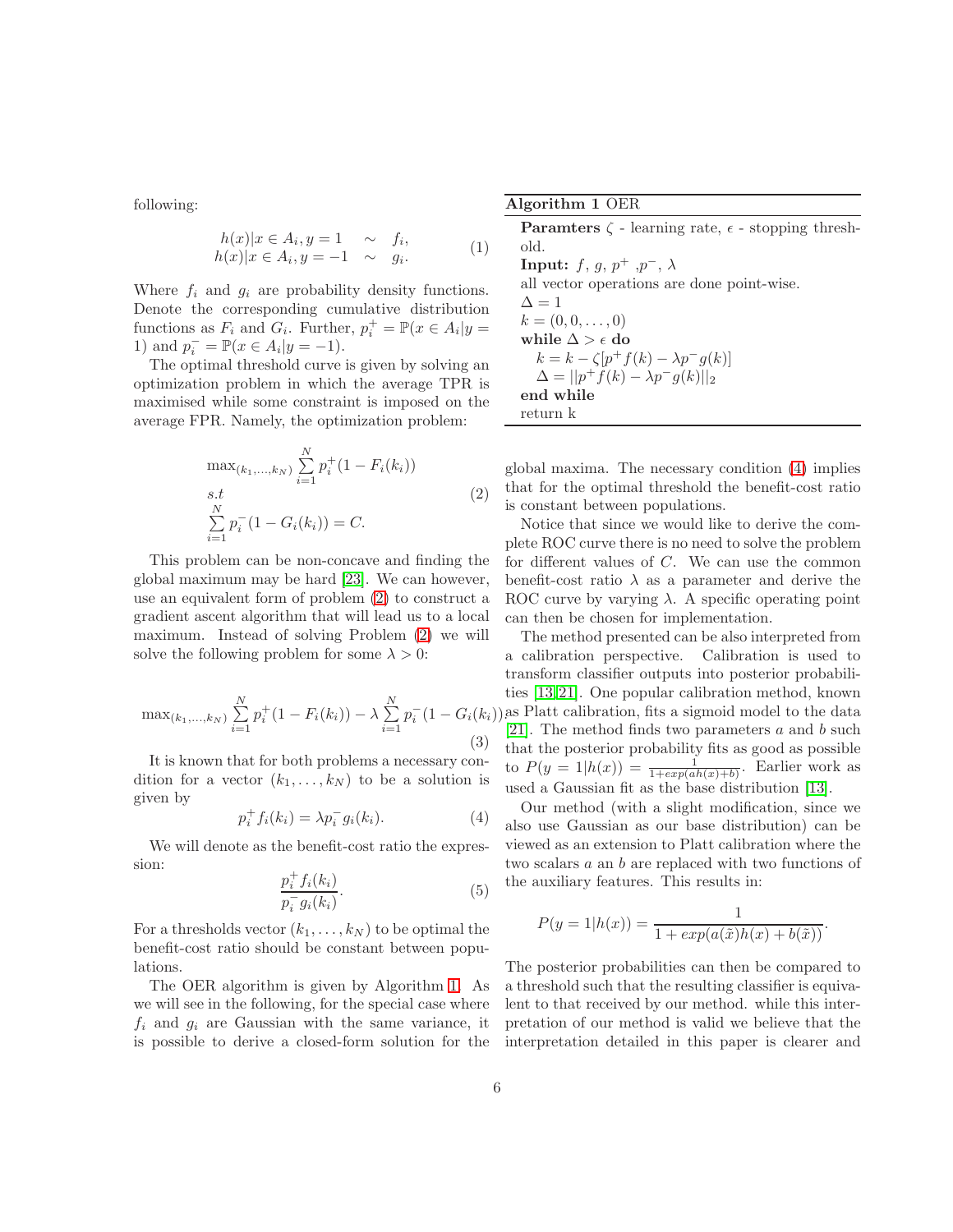following:

$$
h(x)|x \in A_i, y = 1 \sim f_i,
$$
  
\n
$$
h(x)|x \in A_i, y = -1 \sim g_i.
$$
 (1)

Where  $f_i$  and  $g_i$  are probability density functions. Denote the corresponding cumulative distribution functions as  $F_i$  and  $G_i$ . Further,  $p_i^+ = \mathbb{P}(x \in A_i | y =$ 1) and  $p_i^- = \mathbb{P}(x \in A_i | y = -1)$ .

<span id="page-5-0"></span>The optimal threshold curve is given by solving an optimization problem in which the average TPR is maximised while some constraint is imposed on the average FPR. Namely, the optimization problem:

$$
\max_{(k_1,\ldots,k_N)} \sum_{i=1}^N p_i^+(1 - F_i(k_i))
$$
  
s.t  

$$
\sum_{i=1}^N p_i^-(1 - G_i(k_i)) = C.
$$
 (2)

This problem can be non-concave and finding the global maximum may be hard [\[23\]](#page-13-9). We can however, use an equivalent form of problem [\(2\)](#page-5-0) to construct a gradient ascent algorithm that will lead us to a local maximum. Instead of solving Problem [\(2\)](#page-5-0) we will solve the following problem for some  $\lambda > 0$ :

$$
\max_{(k_1,\ldots,k_N)} \sum_{i=1}^N p_i^+(1 - F_i(k_i)) - \lambda \sum_{i=1}^N p_i^-(1 - G_i(k_i)) \sum_{i=1}^N p_i^-(1 - G_i(k_i)) \tag{3}
$$

It is known that for both problems a necessary condition for a vector  $(k_1, \ldots, k_N)$  to be a solution is given by

<span id="page-5-1"></span>
$$
p_i^+ f_i(k_i) = \lambda p_i^- g_i(k_i). \tag{4}
$$

We will denote as the benefit-cost ratio the expression:

$$
\frac{p_i^+ f_i(k_i)}{p_i^- g_i(k_i)}.\tag{5}
$$

For a thresholds vector  $(k_1, \ldots, k_N)$  to be optimal the benefit-cost ratio should be constant between populations.

The OER algorithm is given by Algorithm 1. As we will see in the following, for the special case where  $f_i$  and  $g_i$  are Gaussian with the same variance, it is possible to derive a closed-form solution for the

|  | Algorithm 1 OER |  |  |
|--|-----------------|--|--|
|--|-----------------|--|--|

**Paramters**  $\zeta$  - learning rate,  $\epsilon$  - stopping threshold. **Input:**  $f, g, p^+, p^-, \lambda$ all vector operations are done point-wise.  $\Delta = 1$  $k = (0, 0, \ldots, 0)$ while  $\Delta > \epsilon$  do  $k = k - \zeta[p^+ f(k) - \lambda p^- g(k)]$  $\Delta = ||p^{+} f(k) - \lambda p^{-} g(k)||_{2}$ end while return k

global maxima. The necessary condition [\(4\)](#page-5-1) implies that for the optimal threshold the benefit-cost ratio is constant between populations.

Notice that since we would like to derive the complete ROC curve there is no need to solve the problem for different values of C. We can use the common benefit-cost ratio  $\lambda$  as a parameter and derive the ROC curve by varying  $\lambda$ . A specific operating point can then be chosen for implementation.

The method presented can be also interpreted from a calibration perspective. Calibration is used to transform classifier outputs into posterior probabilities [\[13,](#page-13-10) [21\]](#page-13-11). One popular calibration method, known as Platt calibration, fits a sigmoid model to the data [\[21\]](#page-13-11). The method finds two parameters  $a$  and  $b$  such that the posterior probability fits as good as possible to  $P(y = 1|h(x)) = \frac{1}{1+exp(ah(x)+b)}$ . Earlier work as used a Gaussian fit as the base distribution [\[13\]](#page-13-10).

Our method (with a slight modification, since we also use Gaussian as our base distribution) can be viewed as an extension to Platt calibration where the two scalars a an b are replaced with two functions of the auxiliary features. This results in:

$$
P(y = 1|h(x)) = \frac{1}{1 + exp(a(\tilde{x})h(x) + b(\tilde{x}))}.
$$

The posterior probabilities can then be compared to a threshold such that the resulting classifier is equivalent to that received by our method. while this interpretation of our method is valid we believe that the interpretation detailed in this paper is clearer and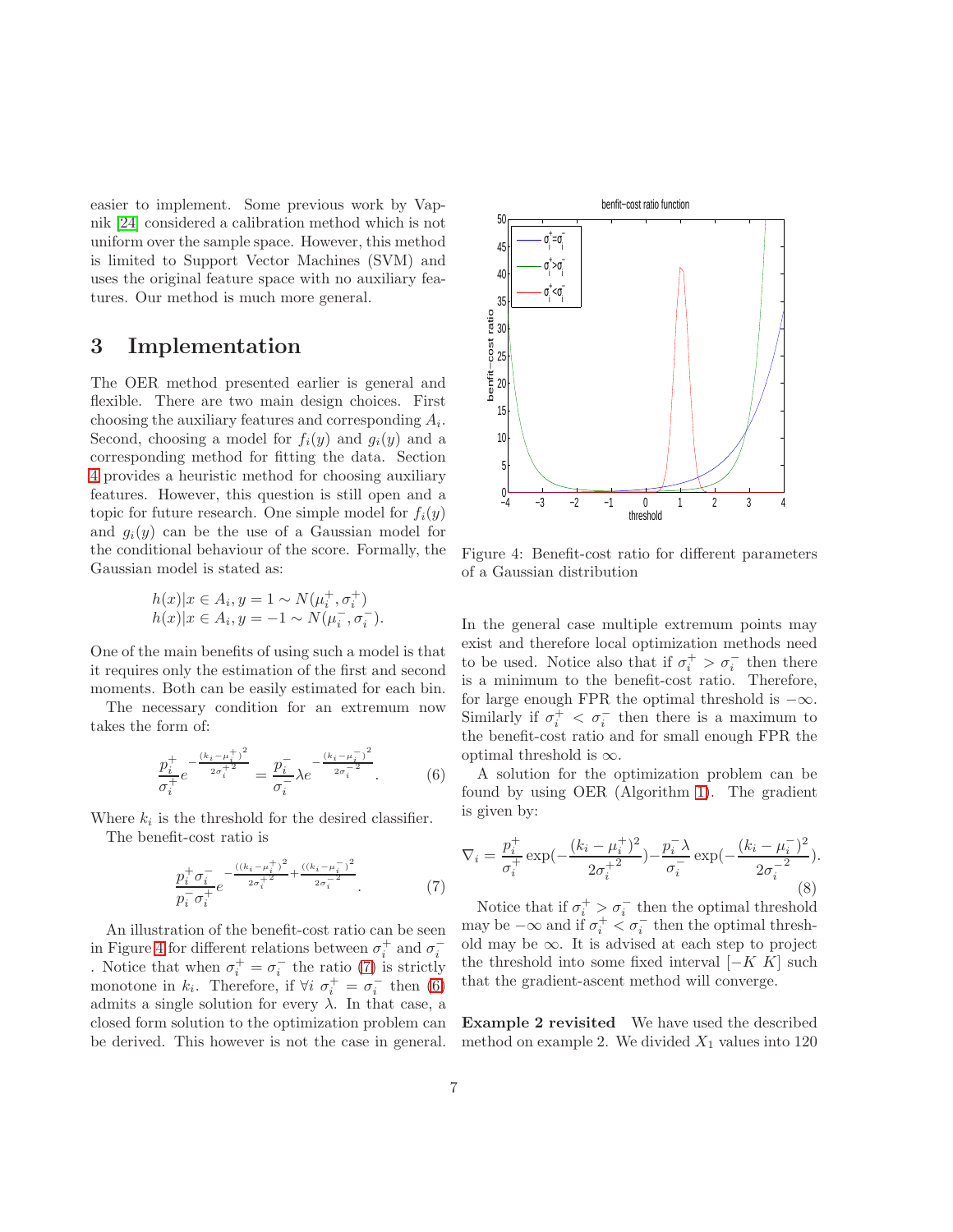easier to implement. Some previous work by Vapnik [\[24\]](#page-13-12) considered a calibration method which is not uniform over the sample space. However, this method is limited to Support Vector Machines (SVM) and uses the original feature space with no auxiliary features. Our method is much more general.

### <span id="page-6-0"></span>3 Implementation

The OER method presented earlier is general and flexible. There are two main design choices. First choosing the auxiliary features and corresponding  $A_i$ . Second, choosing a model for  $f_i(y)$  and  $g_i(y)$  and a corresponding method for fitting the data. Section [4](#page-8-0) provides a heuristic method for choosing auxiliary features. However, this question is still open and a topic for future research. One simple model for  $f_i(y)$ and  $g_i(y)$  can be the use of a Gaussian model for the conditional behaviour of the score. Formally, the Gaussian model is stated as:

$$
h(x)|x \in A_i, y = 1 \sim N(\mu_i^+, \sigma_i^+)
$$
  

$$
h(x)|x \in A_i, y = -1 \sim N(\mu_i^-, \sigma_i^-).
$$

One of the main benefits of using such a model is that it requires only the estimation of the first and second moments. Both can be easily estimated for each bin.

The necessary condition for an extremum now takes the form of:

<span id="page-6-3"></span>
$$
\frac{p_i^+}{\sigma_i^+} e^{-\frac{(k_i - \mu_i^+)^2}{2\sigma_i^+2}} = \frac{p_i^-}{\sigma_i^-} \lambda e^{-\frac{(k_i - \mu_i^-)^2}{2\sigma_i^-2}}.
$$
 (6)

Where  $k_i$  is the threshold for the desired classifier. The benefit-cost ratio is

<span id="page-6-2"></span>
$$
\frac{p_i^+ \sigma_i^-}{p_i^- \sigma_i^+} e^{-\frac{((k_i - \mu_i^+)^2}{2\sigma_i^+} + \frac{((k_i - \mu_i^-)^2}{2\sigma_i^-} - \frac{2}{\sigma_i^+})}
$$
 (7)

An illustration of the benefit-cost ratio can be seen in Figure [4](#page-6-1) for different relations between  $\sigma_i^+$  and  $\sigma_i^$ i . Notice that when  $\sigma_i^+ = \sigma_i^ \bar{i}$  the ratio [\(7\)](#page-6-2) is strictly monotone in  $k_i$ . Therefore, if  $\forall i \space \sigma_i^+ = \sigma_i^ \bar{i}$  then [\(6\)](#page-6-3) admits a single solution for every  $\lambda$ . In that case, a closed form solution to the optimization problem can be derived. This however is not the case in general.

<span id="page-6-1"></span>

Figure 4: Benefit-cost ratio for different parameters of a Gaussian distribution

In the general case multiple extremum points may exist and therefore local optimization methods need to be used. Notice also that if  $\sigma_i^+ > \sigma_i^-$  then there is a minimum to the benefit-cost ratio. Therefore, for large enough FPR the optimal threshold is  $-\infty$ . Similarly if  $\sigma_i^+ < \sigma_i^-$  then there is a maximum to the benefit-cost ratio and for small enough FPR the optimal threshold is  $\infty$ .

A solution for the optimization problem can be found by using OER (Algorithm 1). The gradient is given by:

$$
\nabla_{i} = \frac{p_{i}^{+}}{\sigma_{i}^{+}} \exp\left(-\frac{(k_{i} - \mu_{i}^{+})^{2}}{2\sigma_{i}^{+2}}\right) - \frac{p_{i}^{-} \lambda}{\sigma_{i}^{-}} \exp\left(-\frac{(k_{i} - \mu_{i}^{-})^{2}}{2\sigma_{i}^{-2}}\right).
$$
\n(8)

Notice that if  $\sigma_i^+ > \sigma_i^-$  then the optimal threshold may be  $-\infty$  and if  $\sigma_i^+ < \sigma_i^-$  then the optimal threshold may be  $\infty$ . It is advised at each step to project the threshold into some fixed interval  $[-K \ K]$  such that the gradient-ascent method will converge.

Example 2 revisited We have used the described method on example 2. We divided  $X_1$  values into 120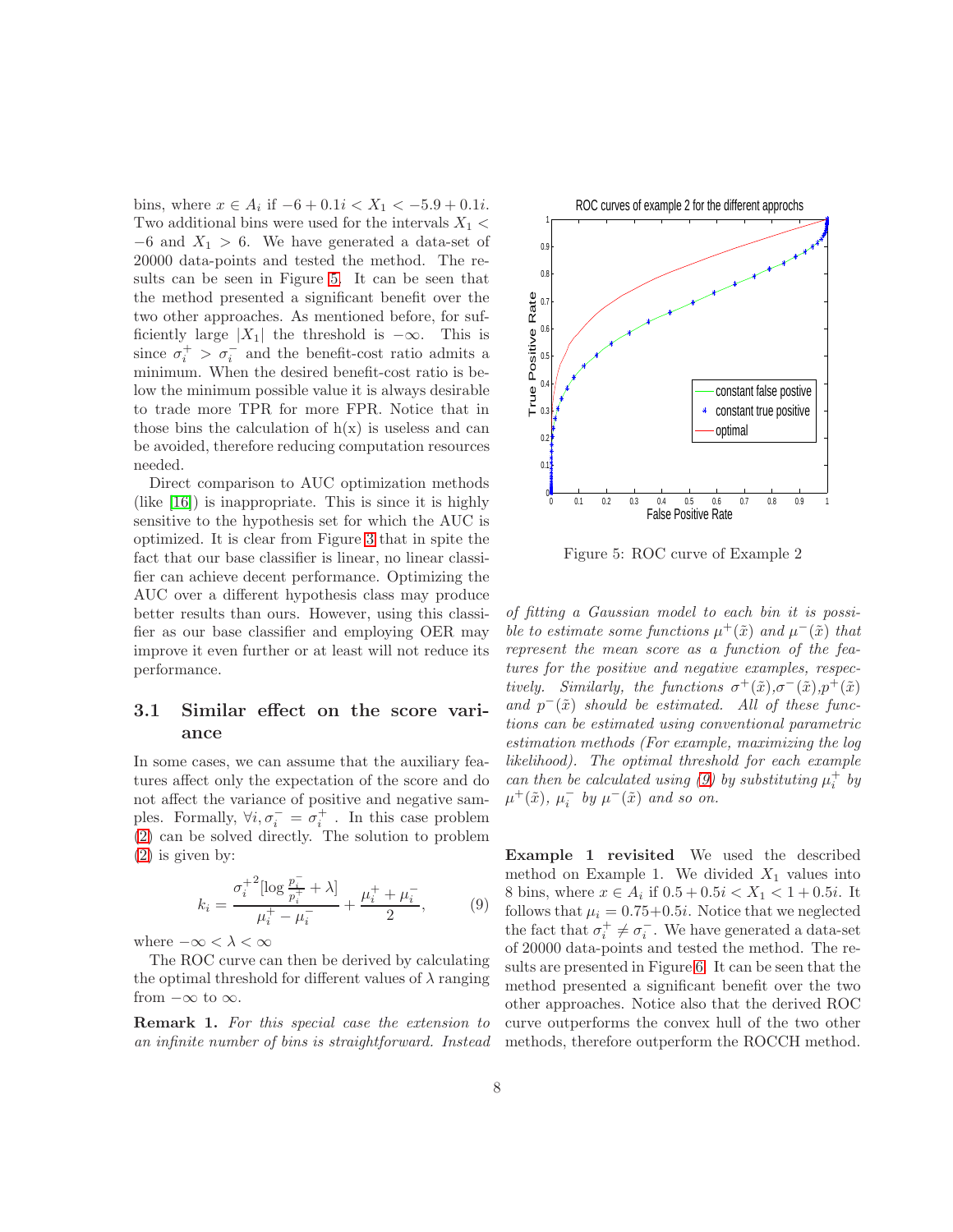bins, where  $x \in A_i$  if  $-6 + 0.1i < X_1 < -5.9 + 0.1i$ . Two additional bins were used for the intervals  $X_1$  <  $-6$  and  $X_1 > 6$ . We have generated a data-set of 20000 data-points and tested the method. The results can be seen in Figure [5.](#page-7-1) It can be seen that the method presented a significant benefit over the two other approaches. As mentioned before, for sufficiently large  $|X_1|$  the threshold is  $-\infty$ . This is since  $\sigma_i^+ > \sigma_i^-$  and the benefit-cost ratio admits a minimum. When the desired benefit-cost ratio is below the minimum possible value it is always desirable to trade more TPR for more FPR. Notice that in those bins the calculation of  $h(x)$  is useless and can be avoided, therefore reducing computation resources needed.

Direct comparison to AUC optimization methods (like [\[16\]](#page-13-6)) is inappropriate. This is since it is highly sensitive to the hypothesis set for which the AUC is optimized. It is clear from Figure [3](#page-3-0) that in spite the fact that our base classifier is linear, no linear classifier can achieve decent performance. Optimizing the AUC over a different hypothesis class may produce better results than ours. However, using this classifier as our base classifier and employing OER may improve it even further or at least will not reduce its performance.

#### <span id="page-7-0"></span>3.1 Similar effect on the score variance

In some cases, we can assume that the auxiliary features affect only the expectation of the score and do not affect the variance of positive and negative samples. Formally,  $\forall i, \sigma_i^- = \sigma_i^+$ . In this case problem [\(2\)](#page-5-0) can be solved directly. The solution to problem [\(2\)](#page-5-0) is given by:

<span id="page-7-2"></span>
$$
k_i = \frac{\sigma_i^{+2} [\log \frac{p_i^{-}}{p_i^{+}} + \lambda]}{\mu_i^{+} - \mu_i^{-}} + \frac{\mu_i^{+} + \mu_i^{-}}{2},
$$
 (9)

where  $-\infty < \lambda < \infty$ 

The ROC curve can then be derived by calculating the optimal threshold for different values of  $\lambda$  ranging from  $-\infty$  to  $\infty$ .

Remark 1. *For this special case the extension to an infinite number of bins is straightforward. Instead*

<span id="page-7-1"></span>

Figure 5: ROC curve of Example 2

*of fitting a Gaussian model to each bin it is possible to estimate some functions*  $\mu^+(\tilde{x})$  *and*  $\mu^-(\tilde{x})$  *that represent the mean score as a function of the features for the positive and negative examples, respectively.* Similarly, the functions  $\sigma^+(\tilde{x}), \sigma^-(\tilde{x}), p^+(\tilde{x})$  $and \ p^-(\tilde{x})$  *should be estimated. All of these functions can be estimated using conventional parametric estimation methods (For example, maximizing the log likelihood). The optimal threshold for each example can then be calculated using* [\(9\)](#page-7-2) by substituting  $\mu_i^+$  by  $\mu^+(\tilde{x})$ ,  $\mu_i^ \bar{i}$  by  $\mu^-(\tilde{x})$  and so on.

Example 1 revisited We used the described method on Example 1. We divided  $X_1$  values into 8 bins, where  $x \in A_i$  if  $0.5 + 0.5i < X_1 < 1 + 0.5i$ . It follows that  $\mu_i = 0.75+0.5i$ . Notice that we neglected the fact that  $\sigma_i^+ \neq \sigma_i^ \bar{i}$ . We have generated a data-set of 20000 data-points and tested the method. The results are presented in Figure [6.](#page-8-1) It can be seen that the method presented a significant benefit over the two other approaches. Notice also that the derived ROC curve outperforms the convex hull of the two other methods, therefore outperform the ROCCH method.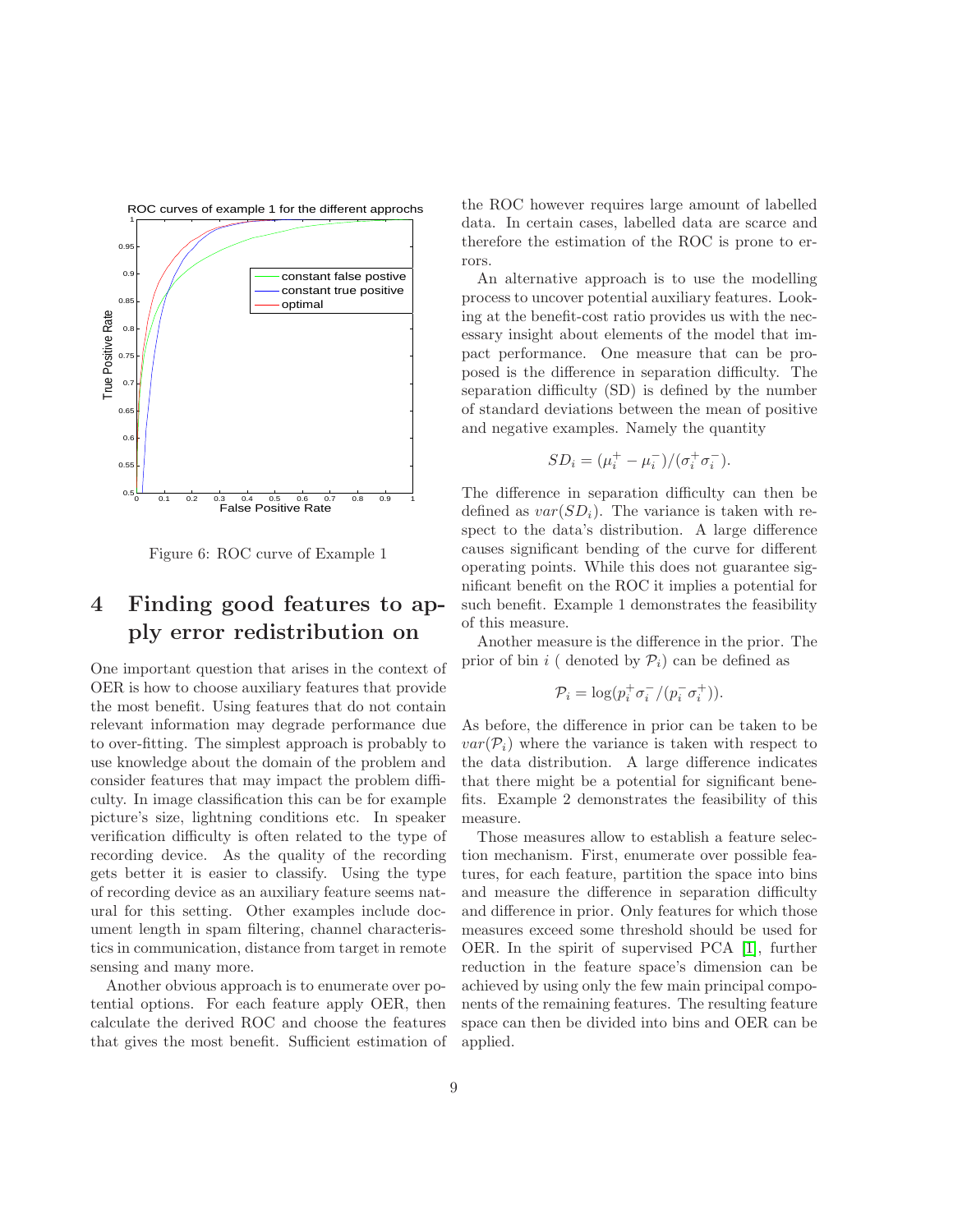<span id="page-8-1"></span>

Figure 6: ROC curve of Example 1

## <span id="page-8-0"></span>4 Finding good features to apply error redistribution on

One important question that arises in the context of OER is how to choose auxiliary features that provide the most benefit. Using features that do not contain relevant information may degrade performance due to over-fitting. The simplest approach is probably to use knowledge about the domain of the problem and consider features that may impact the problem difficulty. In image classification this can be for example picture's size, lightning conditions etc. In speaker verification difficulty is often related to the type of recording device. As the quality of the recording gets better it is easier to classify. Using the type of recording device as an auxiliary feature seems natural for this setting. Other examples include document length in spam filtering, channel characteristics in communication, distance from target in remote sensing and many more.

Another obvious approach is to enumerate over potential options. For each feature apply OER, then calculate the derived ROC and choose the features that gives the most benefit. Sufficient estimation of

the ROC however requires large amount of labelled data. In certain cases, labelled data are scarce and therefore the estimation of the ROC is prone to errors.

An alternative approach is to use the modelling process to uncover potential auxiliary features. Looking at the benefit-cost ratio provides us with the necessary insight about elements of the model that impact performance. One measure that can be proposed is the difference in separation difficulty. The separation difficulty (SD) is defined by the number of standard deviations between the mean of positive and negative examples. Namely the quantity

$$
SD_i = (\mu_i^+ - \mu_i^-) / (\sigma_i^+ \sigma_i^-).
$$

The difference in separation difficulty can then be defined as  $var(SD_i)$ . The variance is taken with respect to the data's distribution. A large difference causes significant bending of the curve for different operating points. While this does not guarantee significant benefit on the ROC it implies a potential for such benefit. Example 1 demonstrates the feasibility of this measure.

Another measure is the difference in the prior. The prior of bin i ( denoted by  $\mathcal{P}_i$ ) can be defined as

$$
\mathcal{P}_i = \log(p_i^+ \sigma_i^- / (p_i^- \sigma_i^+)).
$$

As before, the difference in prior can be taken to be  $var(\mathcal{P}_i)$  where the variance is taken with respect to the data distribution. A large difference indicates that there might be a potential for significant benefits. Example 2 demonstrates the feasibility of this measure.

Those measures allow to establish a feature selection mechanism. First, enumerate over possible features, for each feature, partition the space into bins and measure the difference in separation difficulty and difference in prior. Only features for which those measures exceed some threshold should be used for OER. In the spirit of supervised PCA [\[1\]](#page-12-9), further reduction in the feature space's dimension can be achieved by using only the few main principal components of the remaining features. The resulting feature space can then be divided into bins and OER can be applied.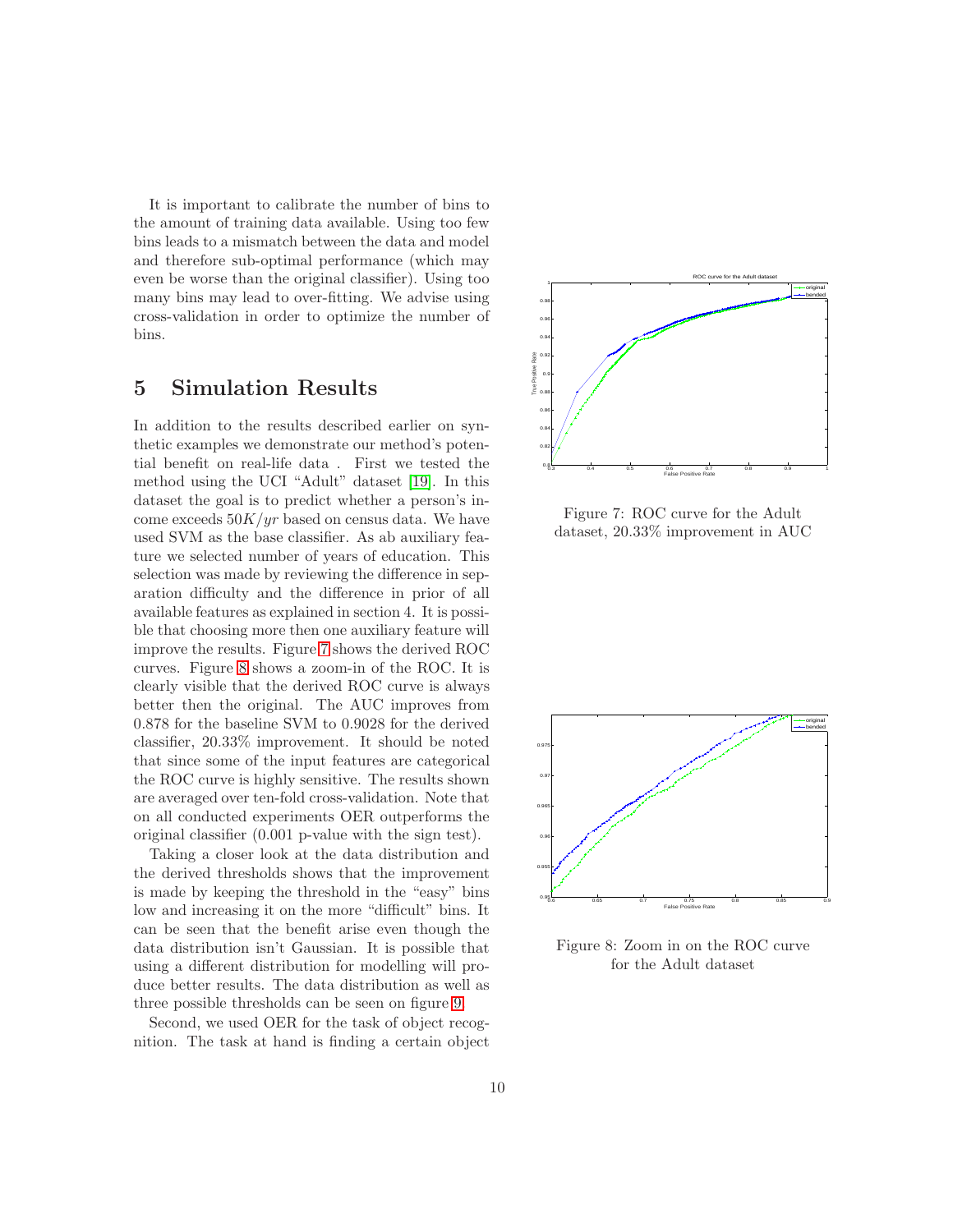It is important to calibrate the number of bins to the amount of training data available. Using too few bins leads to a mismatch between the data and model and therefore sub-optimal performance (which may even be worse than the original classifier). Using too many bins may lead to over-fitting. We advise using cross-validation in order to optimize the number of bins.

## <span id="page-9-0"></span>5 Simulation Results

In addition to the results described earlier on synthetic examples we demonstrate our method's potential benefit on real-life data . First we tested the method using the UCI "Adult" dataset [\[19\]](#page-13-13). In this dataset the goal is to predict whether a person's income exceeds  $50K/yr$  based on census data. We have used SVM as the base classifier. As ab auxiliary feature we selected number of years of education. This selection was made by reviewing the difference in separation difficulty and the difference in prior of all available features as explained in section 4. It is possible that choosing more then one auxiliary feature will improve the results. Figure [7](#page-9-1) shows the derived ROC curves. Figure [8](#page-9-2) shows a zoom-in of the ROC. It is clearly visible that the derived ROC curve is always better then the original. The AUC improves from 0.878 for the baseline SVM to 0.9028 for the derived classifier, 20.33% improvement. It should be noted that since some of the input features are categorical the ROC curve is highly sensitive. The results shown are averaged over ten-fold cross-validation. Note that on all conducted experiments OER outperforms the original classifier (0.001 p-value with the sign test).

Taking a closer look at the data distribution and the derived thresholds shows that the improvement is made by keeping the threshold in the "easy" bins low and increasing it on the more "difficult" bins. It can be seen that the benefit arise even though the data distribution isn't Gaussian. It is possible that using a different distribution for modelling will produce better results. The data distribution as well as three possible thresholds can be seen on figure [9.](#page-10-0)

Second, we used OER for the task of object recognition. The task at hand is finding a certain object

<span id="page-9-1"></span>

Figure 7: ROC curve for the Adult dataset, 20.33% improvement in AUC

<span id="page-9-2"></span>

Figure 8: Zoom in on the ROC curve for the Adult dataset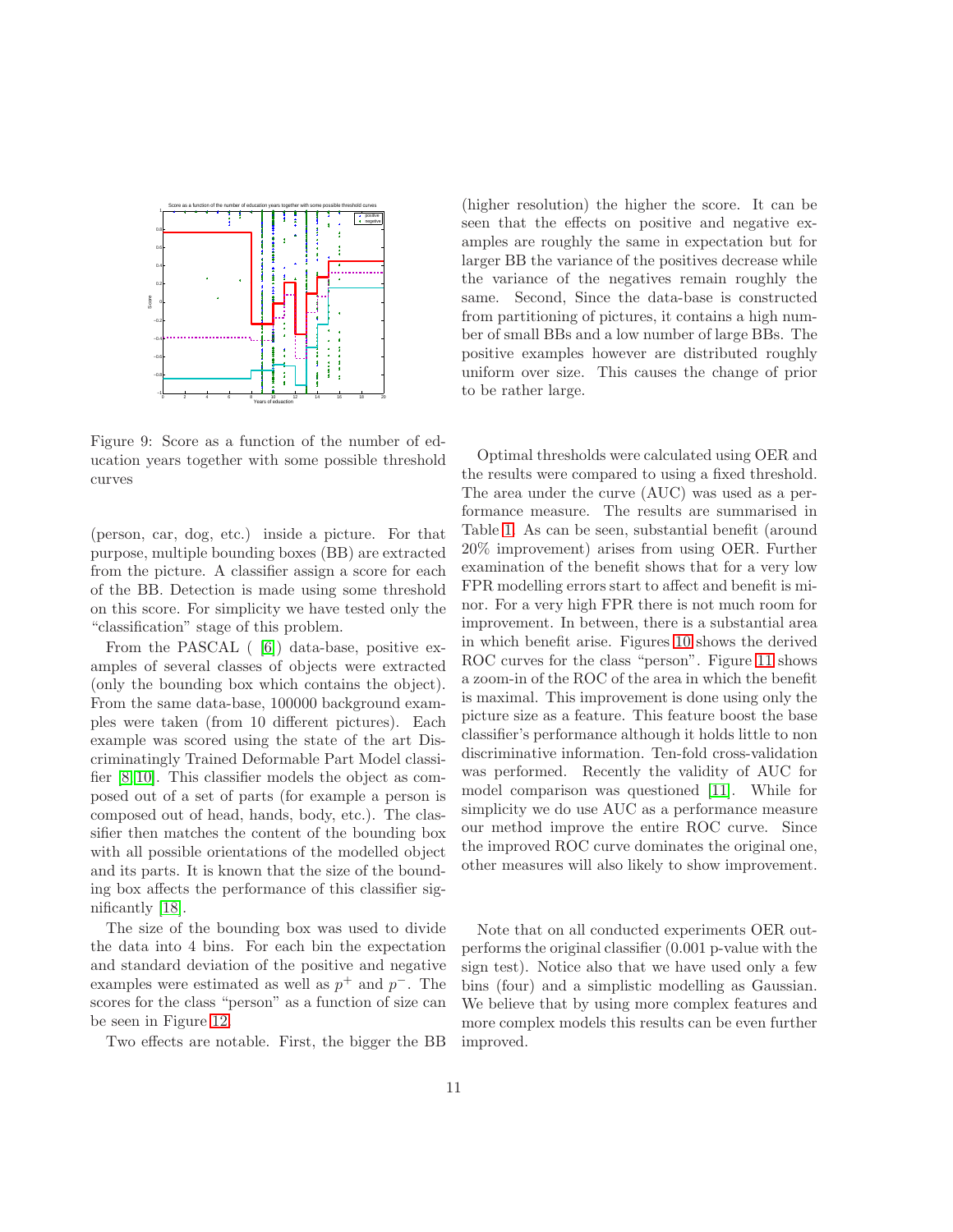<span id="page-10-0"></span>

Figure 9: Score as a function of the number of education years together with some possible threshold curves

(person, car, dog, etc.) inside a picture. For that purpose, multiple bounding boxes (BB) are extracted from the picture. A classifier assign a score for each of the BB. Detection is made using some threshold on this score. For simplicity we have tested only the "classification" stage of this problem.

From the PASCAL ( [\[6\]](#page-12-10)) data-base, positive examples of several classes of objects were extracted (only the bounding box which contains the object). From the same data-base, 100000 background examples were taken (from 10 different pictures). Each example was scored using the state of the art Discriminatingly Trained Deformable Part Model classifier [\[8,](#page-12-11) [10\]](#page-12-1). This classifier models the object as composed out of a set of parts (for example a person is composed out of head, hands, body, etc.). The classifier then matches the content of the bounding box with all possible orientations of the modelled object and its parts. It is known that the size of the bounding box affects the performance of this classifier significantly [\[18\]](#page-13-0).

The size of the bounding box was used to divide the data into 4 bins. For each bin the expectation and standard deviation of the positive and negative examples were estimated as well as  $p^+$  and  $p^-$ . The scores for the class "person" as a function of size can be seen in Figure [12.](#page-11-0)

Two effects are notable. First, the bigger the BB

(higher resolution) the higher the score. It can be seen that the effects on positive and negative examples are roughly the same in expectation but for larger BB the variance of the positives decrease while the variance of the negatives remain roughly the same. Second, Since the data-base is constructed from partitioning of pictures, it contains a high number of small BBs and a low number of large BBs. The positive examples however are distributed roughly uniform over size. This causes the change of prior to be rather large.

Optimal thresholds were calculated using OER and the results were compared to using a fixed threshold. The area under the curve (AUC) was used as a performance measure. The results are summarised in Table [1.](#page-11-1) As can be seen, substantial benefit (around 20% improvement) arises from using OER. Further examination of the benefit shows that for a very low FPR modelling errors start to affect and benefit is minor. For a very high FPR there is not much room for improvement. In between, there is a substantial area in which benefit arise. Figures [10](#page-11-2) shows the derived ROC curves for the class "person". Figure [11](#page-11-3) shows a zoom-in of the ROC of the area in which the benefit is maximal. This improvement is done using only the picture size as a feature. This feature boost the base classifier's performance although it holds little to non discriminative information. Ten-fold cross-validation was performed. Recently the validity of AUC for model comparison was questioned [\[11\]](#page-12-12). While for simplicity we do use AUC as a performance measure our method improve the entire ROC curve. Since the improved ROC curve dominates the original one, other measures will also likely to show improvement.

Note that on all conducted experiments OER outperforms the original classifier (0.001 p-value with the sign test). Notice also that we have used only a few bins (four) and a simplistic modelling as Gaussian. We believe that by using more complex features and more complex models this results can be even further improved.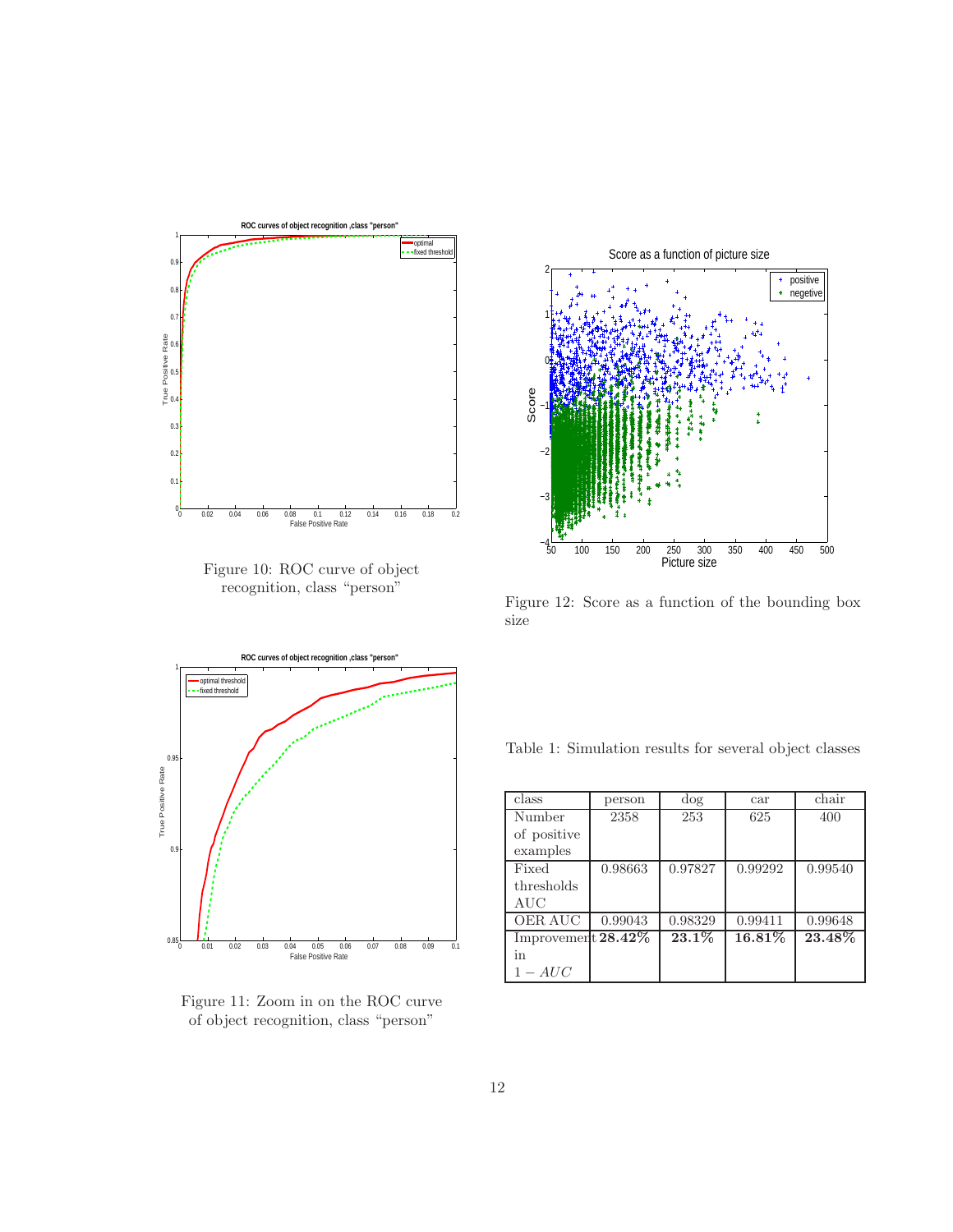<span id="page-11-2"></span>

Figure 10: ROC curve of object recognition, class "person"

<span id="page-11-3"></span>

Figure 11: Zoom in on the ROC curve of object recognition, class "person"

<span id="page-11-0"></span>

Figure 12: Score as a function of the bounding box size

<span id="page-11-1"></span>Table 1: Simulation results for several object classes

| class                 | person  | dog     | car       | chair   |
|-----------------------|---------|---------|-----------|---------|
| Number                | 2358    | 253     | 625       | 400     |
| of positive           |         |         |           |         |
| examples              |         |         |           |         |
| Fixed                 | 0.98663 | 0.97827 | 0.99292   | 0.99540 |
| thresholds            |         |         |           |         |
| AUC                   |         |         |           |         |
| OER AUC               | 0.99043 | 0.98329 | 0.99411   | 0.99648 |
| Improvement $28.42\%$ |         | 23.1%   | $16.81\%$ | 23.48%  |
| in                    |         |         |           |         |
| $1 - AUC$             |         |         |           |         |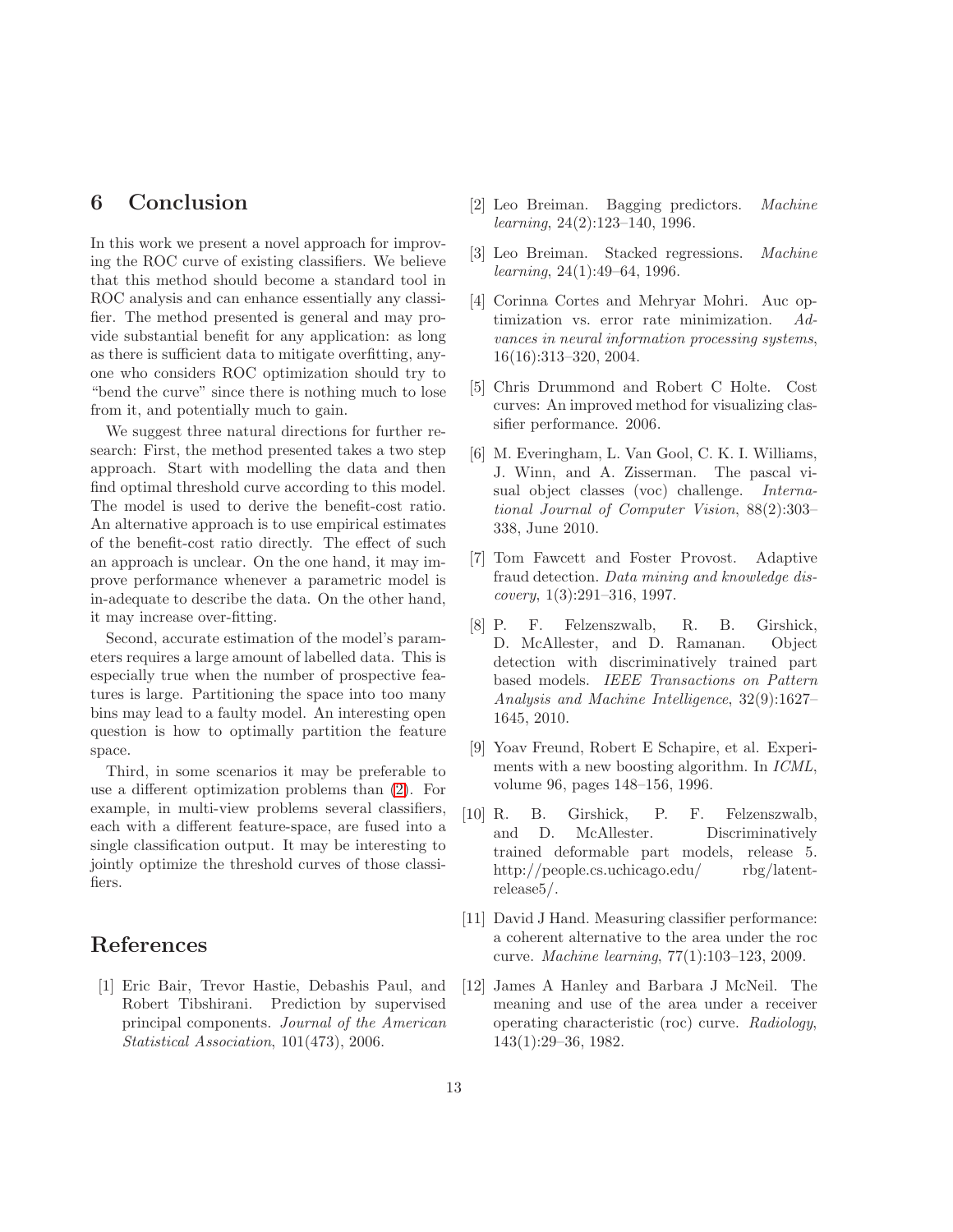## <span id="page-12-8"></span>6 Conclusion

In this work we present a novel approach for improving the ROC curve of existing classifiers. We believe that this method should become a standard tool in ROC analysis and can enhance essentially any classifier. The method presented is general and may provide substantial benefit for any application: as long as there is sufficient data to mitigate overfitting, anyone who considers ROC optimization should try to "bend the curve" since there is nothing much to lose from it, and potentially much to gain.

We suggest three natural directions for further research: First, the method presented takes a two step approach. Start with modelling the data and then find optimal threshold curve according to this model. The model is used to derive the benefit-cost ratio. An alternative approach is to use empirical estimates of the benefit-cost ratio directly. The effect of such an approach is unclear. On the one hand, it may improve performance whenever a parametric model is in-adequate to describe the data. On the other hand, it may increase over-fitting.

Second, accurate estimation of the model's parameters requires a large amount of labelled data. This is especially true when the number of prospective features is large. Partitioning the space into too many bins may lead to a faulty model. An interesting open question is how to optimally partition the feature space.

Third, in some scenarios it may be preferable to use a different optimization problems than [\(2\)](#page-5-0). For example, in multi-view problems several classifiers, each with a different feature-space, are fused into a single classification output. It may be interesting to jointly optimize the threshold curves of those classifiers.

## <span id="page-12-9"></span>References

[1] Eric Bair, Trevor Hastie, Debashis Paul, and Robert Tibshirani. Prediction by supervised principal components. *Journal of the American Statistical Association*, 101(473), 2006.

- <span id="page-12-4"></span><span id="page-12-2"></span>[2] Leo Breiman. Bagging predictors. *Machine learning*, 24(2):123–140, 1996.
- <span id="page-12-5"></span>[3] Leo Breiman. Stacked regressions. *Machine learning*, 24(1):49–64, 1996.
- [4] Corinna Cortes and Mehryar Mohri. Auc optimization vs. error rate minimization. *Advances in neural information processing systems*, 16(16):313–320, 2004.
- <span id="page-12-6"></span>[5] Chris Drummond and Robert C Holte. Cost curves: An improved method for visualizing classifier performance. 2006.
- <span id="page-12-10"></span>[6] M. Everingham, L. Van Gool, C. K. I. Williams, J. Winn, and A. Zisserman. The pascal visual object classes (voc) challenge. *International Journal of Computer Vision*, 88(2):303– 338, June 2010.
- <span id="page-12-7"></span>[7] Tom Fawcett and Foster Provost. Adaptive fraud detection. *Data mining and knowledge discovery*, 1(3):291–316, 1997.
- <span id="page-12-11"></span>[8] P. F. Felzenszwalb, R. B. Girshick, D. McAllester, and D. Ramanan. Object detection with discriminatively trained part based models. *IEEE Transactions on Pattern Analysis and Machine Intelligence*, 32(9):1627– 1645, 2010.
- <span id="page-12-3"></span>[9] Yoav Freund, Robert E Schapire, et al. Experiments with a new boosting algorithm. In *ICML*, volume 96, pages 148–156, 1996.
- <span id="page-12-1"></span>[10] R. B. Girshick, P. F. Felzenszwalb, and D. McAllester. Discriminatively trained deformable part models, release 5. http://people.cs.uchicago.edu/ rbg/latentrelease5/.
- <span id="page-12-12"></span>[11] David J Hand. Measuring classifier performance: a coherent alternative to the area under the roc curve. *Machine learning*, 77(1):103–123, 2009.
- <span id="page-12-0"></span>[12] James A Hanley and Barbara J McNeil. The meaning and use of the area under a receiver operating characteristic (roc) curve. *Radiology*, 143(1):29–36, 1982.